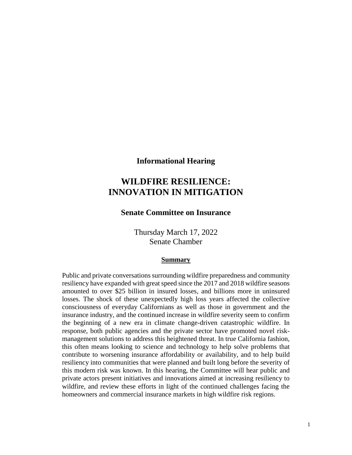**Informational Hearing**

# **WILDFIRE RESILIENCE: INNOVATION IN MITIGATION**

## **Senate Committee on Insurance**

Thursday March 17, 2022 Senate Chamber

#### **Summary**

Public and private conversations surrounding wildfire preparedness and community resiliency have expanded with great speed since the 2017 and 2018 wildfire seasons amounted to over \$25 billion in insured losses, and billions more in uninsured losses. The shock of these unexpectedly high loss years affected the collective consciousness of everyday Californians as well as those in government and the insurance industry, and the continued increase in wildfire severity seem to confirm the beginning of a new era in climate change-driven catastrophic wildfire. In response, both public agencies and the private sector have promoted novel riskmanagement solutions to address this heightened threat. In true California fashion, this often means looking to science and technology to help solve problems that contribute to worsening insurance affordability or availability, and to help build resiliency into communities that were planned and built long before the severity of this modern risk was known. In this hearing, the Committee will hear public and private actors present initiatives and innovations aimed at increasing resiliency to wildfire, and review these efforts in light of the continued challenges facing the homeowners and commercial insurance markets in high wildfire risk regions.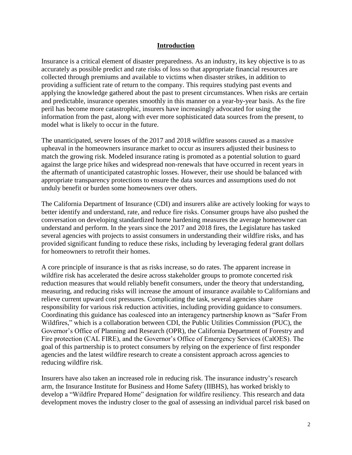#### **Introduction**

Insurance is a critical element of disaster preparedness. As an industry, its key objective is to as accurately as possible predict and rate risks of loss so that appropriate financial resources are collected through premiums and available to victims when disaster strikes, in addition to providing a sufficient rate of return to the company. This requires studying past events and applying the knowledge gathered about the past to present circumstances. When risks are certain and predictable, insurance operates smoothly in this manner on a year-by-year basis. As the fire peril has become more catastrophic, insurers have increasingly advocated for using the information from the past, along with ever more sophisticated data sources from the present, to model what is likely to occur in the future.

The unanticipated, severe losses of the 2017 and 2018 wildfire seasons caused as a massive upheaval in the homeowners insurance market to occur as insurers adjusted their business to match the growing risk. Modeled insurance rating is promoted as a potential solution to guard against the large price hikes and widespread non-renewals that have occurred in recent years in the aftermath of unanticipated catastrophic losses. However, their use should be balanced with appropriate transparency protections to ensure the data sources and assumptions used do not unduly benefit or burden some homeowners over others.

The California Department of Insurance (CDI) and insurers alike are actively looking for ways to better identify and understand, rate, and reduce fire risks. Consumer groups have also pushed the conversation on developing standardized home hardening measures the average homeowner can understand and perform. In the years since the 2017 and 2018 fires, the Legislature has tasked several agencies with projects to assist consumers in understanding their wildfire risks, and has provided significant funding to reduce these risks, including by leveraging federal grant dollars for homeowners to retrofit their homes.

A core principle of insurance is that as risks increase, so do rates. The apparent increase in wildfire risk has accelerated the desire across stakeholder groups to promote concerted risk reduction measures that would reliably benefit consumers, under the theory that understanding, measuring, and reducing risks will increase the amount of insurance available to Californians and relieve current upward cost pressures. Complicating the task, several agencies share responsibility for various risk reduction activities, including providing guidance to consumers. Coordinating this guidance has coalesced into an interagency partnership known as "Safer From Wildfires," which is a collaboration between CDI, the Public Utilities Commission (PUC), the Governor's Office of Planning and Research (OPR), the California Department of Forestry and Fire protection (CAL FIRE), and the Governor's Office of Emergency Services (CalOES). The goal of this partnership is to protect consumers by relying on the experience of first responder agencies and the latest wildfire research to create a consistent approach across agencies to reducing wildfire risk.

Insurers have also taken an increased role in reducing risk. The insurance industry's research arm, the Insurance Institute for Business and Home Safety (IIBHS), has worked briskly to develop a "Wildfire Prepared Home" designation for wildfire resiliency. This research and data development moves the industry closer to the goal of assessing an individual parcel risk based on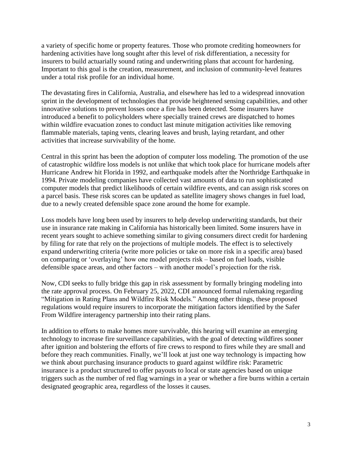a variety of specific home or property features. Those who promote crediting homeowners for hardening activities have long sought after this level of risk differentiation, a necessity for insurers to build actuarially sound rating and underwriting plans that account for hardening. Important to this goal is the creation, measurement, and inclusion of community-level features under a total risk profile for an individual home.

The devastating fires in California, Australia, and elsewhere has led to a widespread innovation sprint in the development of technologies that provide heightened sensing capabilities, and other innovative solutions to prevent losses once a fire has been detected. Some insurers have introduced a benefit to policyholders where specially trained crews are dispatched to homes within wildfire evacuation zones to conduct last minute mitigation activities like removing flammable materials, taping vents, clearing leaves and brush, laying retardant, and other activities that increase survivability of the home.

Central in this sprint has been the adoption of computer loss modeling. The promotion of the use of catastrophic wildfire loss models is not unlike that which took place for hurricane models after Hurricane Andrew hit Florida in 1992, and earthquake models after the Northridge Earthquake in 1994. Private modeling companies have collected vast amounts of data to run sophisticated computer models that predict likelihoods of certain wildfire events, and can assign risk scores on a parcel basis. These risk scores can be updated as satellite imagery shows changes in fuel load, due to a newly created defensible space zone around the home for example.

Loss models have long been used by insurers to help develop underwriting standards, but their use in insurance rate making in California has historically been limited. Some insurers have in recent years sought to achieve something similar to giving consumers direct credit for hardening by filing for rate that rely on the projections of multiple models. The effect is to selectively expand underwriting criteria (write more policies or take on more risk in a specific area) based on comparing or 'overlaying' how one model projects risk – based on fuel loads, visible defensible space areas, and other factors – with another model's projection for the risk.

Now, CDI seeks to fully bridge this gap in risk assessment by formally bringing modeling into the rate approval process. On February 25, 2022, CDI announced formal rulemaking regarding "Mitigation in Rating Plans and Wildfire Risk Models." Among other things, these proposed regulations would require insurers to incorporate the mitigation factors identified by the Safer From Wildfire interagency partnership into their rating plans.

In addition to efforts to make homes more survivable, this hearing will examine an emerging technology to increase fire surveillance capabilities, with the goal of detecting wildfires sooner after ignition and bolstering the efforts of fire crews to respond to fires while they are small and before they reach communities. Finally, we'll look at just one way technology is impacting how we think about purchasing insurance products to guard against wildfire risk: Parametric insurance is a product structured to offer payouts to local or state agencies based on unique triggers such as the number of red flag warnings in a year or whether a fire burns within a certain designated geographic area, regardless of the losses it causes.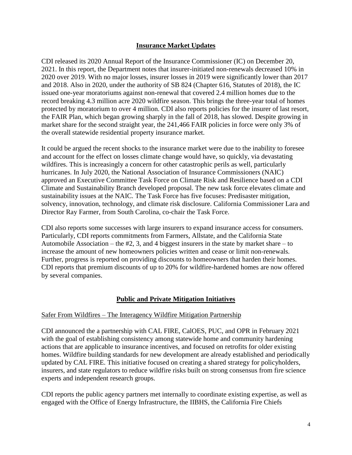#### **Insurance Market Updates**

CDI released its 2020 Annual Report of the Insurance Commissioner (IC) on December 20, 2021. In this report, the Department notes that insurer-initiated non-renewals decreased 10% in 2020 over 2019. With no major losses, insurer losses in 2019 were significantly lower than 2017 and 2018. Also in 2020, under the authority of SB 824 (Chapter 616, Statutes of 2018), the IC issued one-year moratoriums against non-renewal that covered 2.4 million homes due to the record breaking 4.3 million acre 2020 wildfire season. This brings the three-year total of homes protected by moratorium to over 4 million. CDI also reports policies for the insurer of last resort, the FAIR Plan, which began growing sharply in the fall of 2018, has slowed. Despite growing in market share for the second straight year, the 241,466 FAIR policies in force were only 3% of the overall statewide residential property insurance market.

It could be argued the recent shocks to the insurance market were due to the inability to foresee and account for the effect on losses climate change would have, so quickly, via devastating wildfires. This is increasingly a concern for other catastrophic perils as well, particularly hurricanes. In July 2020, the National Association of Insurance Commissioners (NAIC) approved an Executive Committee Task Force on Climate Risk and Resilience based on a CDI Climate and Sustainability Branch developed proposal. The new task force elevates climate and sustainability issues at the NAIC. The Task Force has five focuses: Predisaster mitigation, solvency, innovation, technology, and climate risk disclosure. California Commissioner Lara and Director Ray Farmer, from South Carolina, co-chair the Task Force.

CDI also reports some successes with large insurers to expand insurance access for consumers. Particularly, CDI reports commitments from Farmers, Allstate, and the California State Automobile Association – the  $#2$ , 3, and 4 biggest insurers in the state by market share – to increase the amount of new homeowners policies written and cease or limit non-renewals. Further, progress is reported on providing discounts to homeowners that harden their homes. CDI reports that premium discounts of up to 20% for wildfire-hardened homes are now offered by several companies.

#### **Public and Private Mitigation Initiatives**

#### Safer From Wildfires – The Interagency Wildfire Mitigation Partnership

CDI announced the a partnership with CAL FIRE, CalOES, PUC, and OPR in February 2021 with the goal of establishing consistency among statewide home and community hardening actions that are applicable to insurance incentives, and focused on retrofits for older existing homes. Wildfire building standards for new development are already established and periodically updated by CAL FIRE. This initiative focused on creating a shared strategy for policyholders, insurers, and state regulators to reduce wildfire risks built on strong consensus from fire science experts and independent research groups.

CDI reports the public agency partners met internally to coordinate existing expertise, as well as engaged with the Office of Energy Infrastructure, the IIBHS, the California Fire Chiefs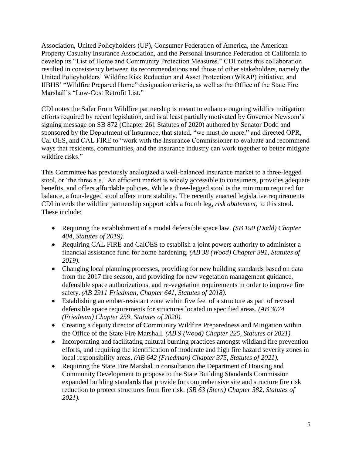Association, United Policyholders (UP), Consumer Federation of America, the American Property Casualty Insurance Association, and the Personal Insurance Federation of California to develop its "List of Home and Community Protection Measures." CDI notes this collaboration resulted in consistency between its recommendations and those of other stakeholders, namely the United Policyholders' Wildfire Risk Reduction and Asset Protection (WRAP) initiative, and IIBHS' "Wildfire Prepared Home" designation criteria, as well as the Office of the State Fire Marshall's "Low-Cost Retrofit List."

CDI notes the Safer From Wildfire partnership is meant to enhance ongoing wildfire mitigation efforts required by recent legislation, and is at least partially motivated by Governor Newsom's signing message on SB 872 (Chapter 261 Statutes of 2020) authored by Senator Dodd and sponsored by the Department of Insurance, that stated, "we must do more," and directed OPR, Cal OES, and CAL FIRE to "work with the Insurance Commissioner to evaluate and recommend ways that residents, communities, and the insurance industry can work together to better mitigate wildfire risks."

This Committee has previously analogized a well-balanced insurance market to a three-legged stool, or 'the three a's.' An efficient market is widely accessible to consumers, provides adequate benefits, and offers affordable policies. While a three-legged stool is the minimum required for balance, a four-legged stool offers more stability. The recently enacted legislative requirements CDI intends the wildfire partnership support adds a fourth leg, *risk abatement,* to this stool. These include:

- Requiring the establishment of a model defensible space law. *(SB 190 (Dodd) Chapter 404, Statutes of 2019).*
- Requiring CAL FIRE and CalOES to establish a joint powers authority to administer a financial assistance fund for home hardening. *(AB 38 (Wood) Chapter 391, Statutes of 2019).*
- Changing local planning processes, providing for new building standards based on data from the 2017 fire season, and providing for new vegetation management guidance, defensible space authorizations, and re-vegetation requirements in order to improve fire safety. *(AB 2911 Friedman, Chapter 641, Statutes of 2018).*
- Establishing an ember-resistant zone within five feet of a structure as part of revised defensible space requirements for structures located in specified areas. *(AB 3074 (Friedman) Chapter 259, Statutes of 2020).*
- Creating a deputy director of Community Wildfire Preparedness and Mitigation within the Office of the State Fire Marshall. *(AB 9 (Wood) Chapter 225, Statutes of 2021).*
- Incorporating and facilitating cultural burning practices amongst wildland fire prevention efforts, and requiring the identification of moderate and high fire hazard severity zones in local responsibility areas. *(AB 642 (Friedman) Chapter 375, Statutes of 2021).*
- Requiring the State Fire Marshal in consultation the Department of Housing and Community Development to propose to the State Building Standards Commission expanded building standards that provide for comprehensive site and structure fire risk reduction to protect structures from fire risk. *(SB 63 (Stern) Chapter 382, Statutes of 2021).*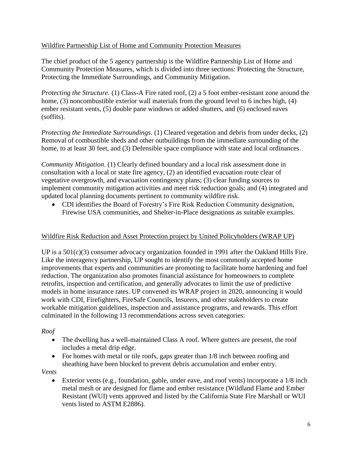#### Wildfire Partnership List of Home and Community Protection Measures

The chief product of the 5 agency partnership is the Wildfire Partnership List of Home and Community Protection Measures, which is divided into three sections: Protecting the Structure, Protecting the Immediate Surroundings, and Community Mitigation.

*Protecting the Structure.* (1) Class-A Fire rated roof, (2) a 5 foot ember-resistant zone around the home, (3) noncombustible exterior wall materials from the ground level to 6 inches high, (4) ember resistant vents, (5) double pane windows or added shutters, and (6) enclosed eaves (soffits).

*Protecting the Immediate Surroundings*. (1) Cleared vegetation and debris from under decks, (2) Removal of combustible sheds and other outbuildings from the immediate surrounding of the home, to at least 30 feet, and (3) Defensible space compliance with state and local ordinances.

*Community Mitigation*. (1) Clearly defined boundary and a local risk assessment done in consultation with a local or state fire agency, (2) an identified evacuation route clear of vegetative overgrowth, and evacuation contingency plans; (3) clear funding sources to implement community mitigation activities and meet risk reduction goals; and (4) integrated and updated local planning documents pertinent to community wildfire risk.

 CDI identifies the Board of Forestry's Fire Risk Reduction Community designation, Firewise USA communities, and Shelter-in-Place designations as suitable examples.

#### Wildfire Risk Reduction and Asset Protection project by United Policyholders (WRAP UP)

UP is a 501(c)(3) consumer advocacy organization founded in 1991 after the Oakland Hills Fire. Like the interagency partnership, UP sought to identify the most commonly accepted home improvements that experts and communities are promoting to facilitate home hardening and fuel reduction. The organization also promotes financial assistance for homeowners to complete retrofits, inspection and certification, and generally advocates [to limit the use of predictive](https://uphelp.org/wp-content/uploads/2020/06/up_-_request_for_investigatory_hearings_on_wildfire_risk_models_1.pdf)  [models in home insurance rates.](https://uphelp.org/wp-content/uploads/2020/06/up_-_request_for_investigatory_hearings_on_wildfire_risk_models_1.pdf) UP convened its WRAP project in 2020, announcing it would work with CDI, Firefighters, FireSafe Councils, Insurers, and other stakeholders to create workable mitigation guidelines, inspection and assistance programs, and rewards. This effort culminated in the following 13 recommendations across seven categories:

#### *Roof*

- The dwelling has a well-maintained Class A roof. Where gutters are present, the roof includes a metal drip edge.
- For homes with metal or tile roofs, gaps greater than  $1/8$  inch between roofing and sheathing have been blocked to prevent debris accumulation and ember entry.

#### *Vents*

 Exterior vents (e.g., foundation, gable, under eave, and roof vents) incorporate a 1/8 inch metal mesh or are designed for flame and ember resistance (Wildland Flame and Ember Resistant (WUI) vents approved and listed by the California State Fire Marshall or WUI vents listed to ASTM E2886).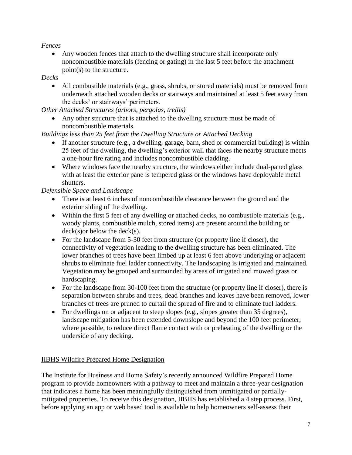## *Fences*

 Any wooden fences that attach to the dwelling structure shall incorporate only noncombustible materials (fencing or gating) in the last 5 feet before the attachment point(s) to the structure.

#### *Decks*

 All combustible materials (e.g., grass, shrubs, or stored materials) must be removed from underneath attached wooden decks or stairways and maintained at least 5 feet away from the decks' or stairways' perimeters.

*Other Attached Structures (arbors, pergolas, trellis)*

 Any other structure that is attached to the dwelling structure must be made of noncombustible materials.

## *Buildings less than 25 feet from the Dwelling Structure or Attached Decking*

- If another structure (e.g., a dwelling, garage, barn, shed or commercial building) is within 25 feet of the dwelling, the dwelling's exterior wall that faces the nearby structure meets a one-hour fire rating and includes noncombustible cladding.
- Where windows face the nearby structure, the windows either include dual-paned glass with at least the exterior pane is tempered glass or the windows have deployable metal shutters.

## *Defensible Space and Landscape*

- There is at least 6 inches of noncombustible clearance between the ground and the exterior siding of the dwelling.
- Within the first 5 feet of any dwelling or attached decks, no combustible materials (e.g., woody plants, combustible mulch, stored items) are present around the building or deck(s)or below the deck(s).
- For the landscape from 5-30 feet from structure (or property line if closer), the connectivity of vegetation leading to the dwelling structure has been eliminated. The lower branches of trees have been limbed up at least 6 feet above underlying or adjacent shrubs to eliminate fuel ladder connectivity. The landscaping is irrigated and maintained. Vegetation may be grouped and surrounded by areas of irrigated and mowed grass or hardscaping.
- For the landscape from 30-100 feet from the structure (or property line if closer), there is separation between shrubs and trees, dead branches and leaves have been removed, lower branches of trees are pruned to curtail the spread of fire and to eliminate fuel ladders.
- For dwellings on or adjacent to steep slopes (e.g., slopes greater than 35 degrees), landscape mitigation has been extended downslope and beyond the 100 feet perimeter, where possible, to reduce direct flame contact with or preheating of the dwelling or the underside of any decking.

# IIBHS Wildfire Prepared Home Designation

The Institute for Business and Home Safety's recently announced Wildfire Prepared Home program to provide homeowners with a pathway to meet and maintain a three-year designation that indicates a home has been meaningfully distinguished from unmitigated or partiallymitigated properties. To receive this designation, IIBHS has established a 4 step process. First, before applying an app or web based tool is available to help homeowners self-assess their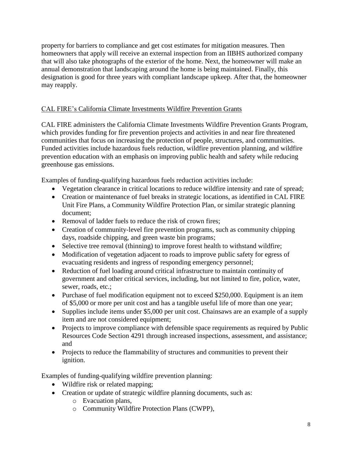property for barriers to compliance and get cost estimates for mitigation measures. Then homeowners that apply will receive an external inspection from an IIBHS authorized company that will also take photographs of the exterior of the home. Next, the homeowner will make an annual demonstration that landscaping around the home is being maintained. Finally, this designation is good for three years with compliant landscape upkeep. After that, the homeowner may reapply.

# CAL FIRE's California Climate Investments Wildfire Prevention Grants

CAL FIRE administers the California Climate Investments Wildfire Prevention Grants Program, which provides funding for fire prevention projects and activities in and near fire threatened communities that focus on increasing the protection of people, structures, and communities. Funded activities include hazardous fuels reduction, wildfire prevention planning, and wildfire prevention education with an emphasis on improving public health and safety while reducing greenhouse gas emissions.

Examples of funding-qualifying hazardous fuels reduction activities include:

- Vegetation clearance in critical locations to reduce wildfire intensity and rate of spread;
- Creation or maintenance of fuel breaks in strategic locations, as identified in CAL FIRE Unit Fire Plans, a Community Wildfire Protection Plan, or similar strategic planning document;
- Removal of ladder fuels to reduce the risk of crown fires:
- Creation of community-level fire prevention programs, such as community chipping days, roadside chipping, and green waste bin programs;
- Selective tree removal (thinning) to improve forest health to withstand wildfire;
- Modification of vegetation adjacent to roads to improve public safety for egress of evacuating residents and ingress of responding emergency personnel;
- Reduction of fuel loading around critical infrastructure to maintain continuity of government and other critical services, including, but not limited to fire, police, water, sewer, roads, etc.;
- Purchase of fuel modification equipment not to exceed \$250,000. Equipment is an item of \$5,000 or more per unit cost and has a tangible useful life of more than one year;
- Supplies include items under \$5,000 per unit cost. Chainsaws are an example of a supply item and are not considered equipment;
- Projects to improve compliance with defensible space requirements as required by Public Resources Code Section 4291 through increased inspections, assessment, and assistance; and
- Projects to reduce the flammability of structures and communities to prevent their ignition.

Examples of funding-qualifying wildfire prevention planning:

- Wildfire risk or related mapping;
- Creation or update of strategic wildfire planning documents, such as:
	- o Evacuation plans,
	- o Community Wildfire Protection Plans (CWPP),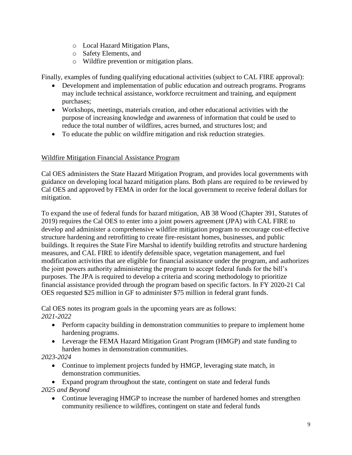- o Local Hazard Mitigation Plans,
- o Safety Elements, and
- o Wildfire prevention or mitigation plans.

Finally, examples of funding qualifying educational activities (subject to CAL FIRE approval):

- Development and implementation of public education and outreach programs. Programs may include technical assistance, workforce recruitment and training, and equipment purchases;
- Workshops, meetings, materials creation, and other educational activities with the purpose of increasing knowledge and awareness of information that could be used to reduce the total number of wildfires, acres burned, and structures lost; and
- To educate the public on wildfire mitigation and risk reduction strategies.

## Wildfire Mitigation Financial Assistance Program

Cal OES administers the State Hazard Mitigation Program, and provides local governments with guidance on developing local hazard mitigation plans. Both plans are required to be reviewed by Cal OES and approved by FEMA in order for the local government to receive federal dollars for mitigation.

To expand the use of federal funds for hazard mitigation, AB 38 Wood (Chapter 391, Statutes of 2019) requires the Cal OES to enter into a joint powers agreement (JPA) with CAL FIRE to develop and administer a comprehensive wildfire mitigation program to encourage cost-effective structure hardening and retrofitting to create fire-resistant homes, businesses, and public buildings. It requires the State Fire Marshal to identify building retrofits and structure hardening measures, and CAL FIRE to identify defensible space, vegetation management, and fuel modification activities that are eligible for financial assistance under the program, and authorizes the joint powers authority administering the program to accept federal funds for the bill's purposes. The JPA is required to develop a criteria and scoring methodology to prioritize financial assistance provided through the program based on specific factors. In FY 2020-21 Cal OES requested \$25 million in GF to administer \$75 million in federal grant funds.

Cal OES notes its program goals in the upcoming years are as follows: *2021-2022*

- Perform capacity building in demonstration communities to prepare to implement home hardening programs.
- Leverage the FEMA Hazard Mitigation Grant Program (HMGP) and state funding to harden homes in demonstration communities.

*2023-2024*

 Continue to implement projects funded by HMGP, leveraging state match, in demonstration communities.

 Expand program throughout the state, contingent on state and federal funds *2025 and Beyond*

• Continue leveraging HMGP to increase the number of hardened homes and strengthen community resilience to wildfires, contingent on state and federal funds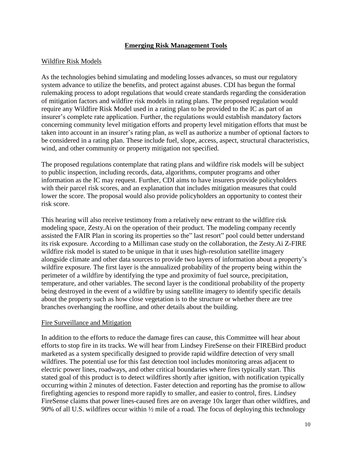#### **Emerging Risk Management Tools**

#### Wildfire Risk Models

As the technologies behind simulating and modeling losses advances, so must our regulatory system advance to utilize the benefits, and protect against abuses. CDI has begun the formal rulemaking process to adopt regulations that would create standards regarding the consideration of mitigation factors and wildfire risk models in rating plans. The proposed regulation would require any Wildfire Risk Model used in a rating plan to be provided to the IC as part of an insurer's complete rate application. Further, the regulations would establish mandatory factors concerning community level mitigation efforts and property level mitigation efforts that must be taken into account in an insurer's rating plan, as well as authorize a number of optional factors to be considered in a rating plan. These include fuel, slope, access, aspect, structural characteristics, wind, and other community or property mitigation not specified.

The proposed regulations contemplate that rating plans and wildfire risk models will be subject to public inspection, including records, data, algorithms, computer programs and other information as the IC may request. Further, CDI aims to have insurers provide policyholders with their parcel risk scores, and an explanation that includes mitigation measures that could lower the score. The proposal would also provide policyholders an opportunity to contest their risk score.

This hearing will also receive testimony from a relatively new entrant to the wildfire risk modeling space, Zesty.Ai on the operation of their product. The modeling company recently assisted the FAIR Plan in scoring its properties so the" last resort" pool could better understand its risk exposure. According to a Milliman case study on the collaboration, the Zesty.Ai Z-FIRE wildfire risk model is stated to be unique in that it uses high-resolution satellite imagery alongside climate and other data sources to provide two layers of information about a property's wildfire exposure. The first layer is the annualized probability of the property being within the perimeter of a wildfire by identifying the type and proximity of fuel source, precipitation, temperature, and other variables. The second layer is the conditional probability of the property being destroyed in the event of a wildfire by using satellite imagery to identify specific details about the property such as how close vegetation is to the structure or whether there are tree branches overhanging the roofline, and other details about the building.

#### Fire Surveillance and Mitigation

In addition to the efforts to reduce the damage fires can cause, this Committee will hear about efforts to stop fire in its tracks. We will hear from Lindsey FireSense on their FIREBird product marketed as a system specifically designed to provide rapid wildfire detection of very small wildfires. The potential use for this fast detection tool includes monitoring areas adjacent to electric power lines, roadways, and other critical boundaries where fires typically start. This stated goal of this product is to detect wildfires shortly after ignition, with notification typically occurring within 2 minutes of detection. Faster detection and reporting has the promise to allow firefighting agencies to respond more rapidly to smaller, and easier to control, fires. Lindsey FireSense claims that power lines-caused fires are on average 10x larger than other wildfires, and 90% of all U.S. wildfires occur within ½ mile of a road. The focus of deploying this technology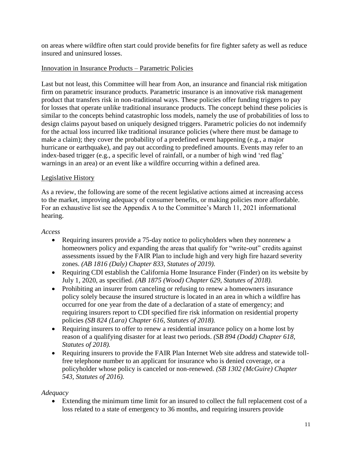on areas where wildfire often start could provide benefits for fire fighter safety as well as reduce insured and uninsured losses.

## Innovation in Insurance Products – Parametric Policies

Last but not least, this Committee will hear from Aon, an insurance and financial risk mitigation firm on parametric insurance products. Parametric insurance is an innovative risk management product that transfers risk in non-traditional ways. These policies offer funding triggers to pay for losses that operate unlike traditional insurance products. The concept behind these policies is similar to the concepts behind catastrophic loss models, namely the use of probabilities of loss to design claims payout based on uniquely designed triggers. Parametric policies do not indemnify for the actual loss incurred like traditional insurance policies (where there must be damage to make a claim); they cover the probability of a predefined event happening (e.g., a major hurricane or earthquake), and pay out according to predefined amounts. Events may refer to an index-based trigger (e.g., a specific level of rainfall, or a number of high wind 'red flag' warnings in an area) or an event like a wildfire occurring within a defined area.

#### Legislative History

As a review, the following are some of the recent legislative actions aimed at increasing access to the market, improving adequacy of consumer benefits, or making policies more affordable. For an exhaustive list see the Appendix A to the Committee's March 11, 2021 informational hearing.

#### *Access*

- Requiring insurers provide a 75-day notice to policyholders when they nonrenew a homeowners policy and expanding the areas that qualify for "write-out" credits against assessments issued by the FAIR Plan to include high and very high fire hazard severity zones. *(AB 1816 (Daly) Chapter 833, Statutes of 2019).*
- Requiring CDI establish the California Home Insurance Finder (Finder) on its website by July 1, 2020, as specified. *(AB 1875 (Wood) Chapter 629, Statutes of 2018).*
- Prohibiting an insurer from canceling or refusing to renew a homeowners insurance policy solely because the insured structure is located in an area in which a wildfire has occurred for one year from the date of a declaration of a state of emergency; and requiring insurers report to CDI specified fire risk information on residential property policies *(SB 824 (Lara) Chapter 616, Statutes of 2018).*
- Requiring insurers to offer to renew a residential insurance policy on a home lost by reason of a qualifying disaster for at least two periods. *(SB 894 (Dodd) Chapter 618, Statutes of 2018).*
- Requiring insurers to provide the FAIR Plan Internet Web site address and statewide tollfree telephone number to an applicant for insurance who is denied coverage, or a policyholder whose policy is canceled or non-renewed. *(SB 1302 (McGuire) Chapter 543, Statutes of 2016).*

# *Adequacy*

 Extending the minimum time limit for an insured to collect the full replacement cost of a loss related to a state of emergency to 36 months, and requiring insurers provide